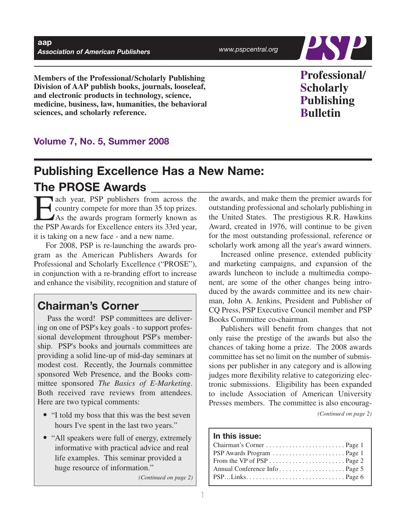*www.pspcentral.org*



**Members of the Professional/Scholarly Publishing Division of AAP publish books, journals, looseleaf, and electronic products in technology, science, medicine, business, law, humanities, the behavioral sciences, and scholarly reference.**

# **Professional/ Scholarly Publishing Bulletin**

## **Volume 7, No. 5, Summer 2008**

# **Publishing Excellence Has a New Name: The PROSE Awards**

Each year, PSP publishers from across the country compete for more than 35 top prizes. As the awards program formerly known as the PSP Awards for Excellence enters its 33rd year, it is taking on a new face - and a new name.

For 2008, PSP is re-launching the awards program as the American Publishers Awards for Professional and Scholarly Excellence ("PROSE"), in conjunction with a re-branding effort to increase and enhance the visibility, recognition and stature of

## **Chairman's Corner \_\_\_\_\_\_\_\_\_**

Pass the word! PSP committees are delivering on one of PSP's key goals - to support professional development throughout PSP's membership. PSP's books and journals committees are providing a solid line-up of mid-day seminars at modest cost. Recently, the Journals committee sponsored Web Presence, and the Books committee sponsored *The Basics of E-Marketing*. Both received rave reviews from attendees. Here are two typical comments:

- "I told my boss that this was the best seven hours I've spent in the last two years."
- "All speakers were full of energy, extremely informative with practical advice and real life examples. This seminar provided a huge resource of information."

*(Continued on page 2)*

the awards, and make them the premier awards for outstanding professional and scholarly publishing in the United States. The prestigious R.R. Hawkins Award, created in 1976, will continue to be given for the most outstanding professional, reference or scholarly work among all the year's award winners.

Increased online presence, extended publicity and marketing campaigns, and expansion of the awards luncheon to include a multimedia component, are some of the other changes being introduced by the awards committee and its new chairman, John A. Jenkins, President and Publisher of CQ Press, PSP Executive Council member and PSP Books Committee co-chairman.

Publishers will benefit from changes that not only raise the prestige of the awards but also the chances of taking home a prize. The 2008 awards committee has set no limit on the number of submissions per publisher in any category and is allowing judges more flexibility relative to categorizing electronic submissions. Eligibility has been expanded to include Association of American University Presses members. The committee is also encourag-

*(Continued on page 2)*

## **In this issue:**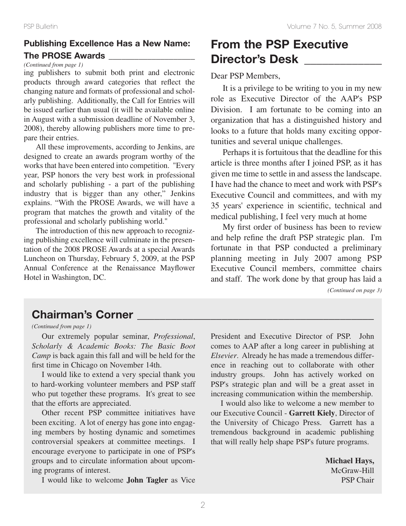## **Publishing Excellence Has a New Name: The PROSE Awards**

#### *(Continued from page 1)*

ing publishers to submit both print and electronic products through award categories that reflect the changing nature and formats of professional and scholarly publishing. Additionally, the Call for Entries will be issued earlier than usual (it will be available online in August with a submission deadline of November 3, 2008), thereby allowing publishers more time to prepare their entries.

All these improvements, according to Jenkins, are designed to create an awards program worthy of the works that have been entered into competition. "Every year, PSP honors the very best work in professional and scholarly publishing - a part of the publishing industry that is bigger than any other," Jenkins explains. "With the PROSE Awards, we will have a program that matches the growth and vitality of the professional and scholarly publishing world."

The introduction of this new approach to recognizing publishing excellence will culminate in the presentation of the 2008 PROSE Awards at a special Awards Luncheon on Thursday, February 5, 2009, at the PSP Annual Conference at the Renaissance Mayflower Hotel in Washington, DC.

# **From the PSP Executive Director's Desk**  $\blacksquare$

### Dear PSP Members,

It is a privilege to be writing to you in my new role as Executive Director of the AAP's PSP Division. I am fortunate to be coming into an organization that has a distinguished history and looks to a future that holds many exciting opportunities and several unique challenges.

Perhaps it is fortuitous that the deadline for this article is three months after I joined PSP, as it has given me time to settle in and assess the landscape. I have had the chance to meet and work with PSP's Executive Council and committees, and with my 35 years' experience in scientific, technical and medical publishing, I feel very much at home

My first order of business has been to review and help refine the draft PSP strategic plan. I'm fortunate in that PSP conducted a preliminary planning meeting in July 2007 among PSP Executive Council members, committee chairs and staff. The work done by that group has laid a *(Continued on page 3)*

# **Chairman's Corner \_\_\_\_\_\_\_\_\_\_\_\_\_\_\_\_\_\_\_\_\_\_\_\_\_\_\_\_\_\_\_\_\_\_\_\_\_\_\_\_\_\_**

*(Continued from page 1)*

Our extremely popular seminar, *Professional*, *Scholarly & Academic Books: The Basic Boot Camp* is back again this fall and will be held for the first time in Chicago on November 14th.

I would like to extend a very special thank you to hard-working volunteer members and PSP staff who put together these programs. It's great to see that the efforts are appreciated.

Other recent PSP committee initiatives have been exciting. A lot of energy has gone into engaging members by hosting dynamic and sometimes controversial speakers at committee meetings. I encourage everyone to participate in one of PSP's groups and to circulate information about upcoming programs of interest.

I would like to welcome **John Tagler** as Vice

President and Executive Director of PSP. John comes to AAP after a long career in publishing at *Elsevier*. Already he has made a tremendous difference in reaching out to collaborate with other industry groups. John has actively worked on PSP's strategic plan and will be a great asset in increasing communication within the membership.

I would also like to welcome a new member to our Executive Council - **Garrett Kiely**, Director of the University of Chicago Press. Garrett has a tremendous background in academic publishing that will really help shape PSP's future programs.

> **Michael Hays,** McGraw-Hill PSP Chair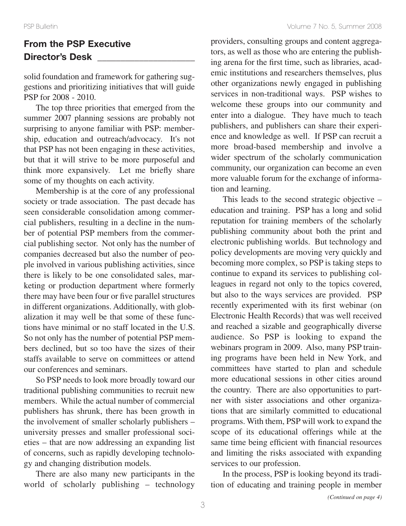## **From the PSP Executive Director's Desk \_\_\_\_\_\_\_\_\_\_\_\_\_\_\_\_\_\_\_\_\_**

solid foundation and framework for gathering suggestions and prioritizing initiatives that will guide PSP for 2008 - 2010.

The top three priorities that emerged from the summer 2007 planning sessions are probably not surprising to anyone familiar with PSP: membership, education and outreach/advocacy. It's not that PSP has not been engaging in these activities, but that it will strive to be more purposeful and think more expansively. Let me briefly share some of my thoughts on each activity.

Membership is at the core of any professional society or trade association. The past decade has seen considerable consolidation among commercial publishers, resulting in a decline in the number of potential PSP members from the commercial publishing sector. Not only has the number of companies decreased but also the number of people involved in various publishing activities, since there is likely to be one consolidated sales, marketing or production department where formerly there may have been four or five parallel structures in different organizations. Additionally, with globalization it may well be that some of these functions have minimal or no staff located in the U.S. So not only has the number of potential PSP members declined, but so too have the sizes of their staffs available to serve on committees or attend our conferences and seminars.

So PSP needs to look more broadly toward our traditional publishing communities to recruit new members. While the actual number of commercial publishers has shrunk, there has been growth in the involvement of smaller scholarly publishers – university presses and smaller professional societies – that are now addressing an expanding list of concerns, such as rapidly developing technology and changing distribution models.

There are also many new participants in the world of scholarly publishing – technology

providers, consulting groups and content aggregators, as well as those who are entering the publishing arena for the first time, such as libraries, academic institutions and researchers themselves, plus other organizations newly engaged in publishing services in non-traditional ways. PSP wishes to welcome these groups into our community and enter into a dialogue. They have much to teach publishers, and publishers can share their experience and knowledge as well. If PSP can recruit a more broad-based membership and involve a wider spectrum of the scholarly communication community, our organization can become an even more valuable forum for the exchange of information and learning.

This leads to the second strategic objective – education and training. PSP has a long and solid reputation for training members of the scholarly publishing community about both the print and electronic publishing worlds. But technology and policy developments are moving very quickly and becoming more complex, so PSP is taking steps to continue to expand its services to publishing colleagues in regard not only to the topics covered, but also to the ways services are provided. PSP recently experimented with its first webinar (on Electronic Health Records) that was well received and reached a sizable and geographically diverse audience. So PSP is looking to expand the webinars program in 2009. Also, many PSP training programs have been held in New York, and committees have started to plan and schedule more educational sessions in other cities around the country. There are also opportunities to partner with sister associations and other organizations that are similarly committed to educational programs. With them, PSP will work to expand the scope of its educational offerings while at the same time being efficient with financial resources and limiting the risks associated with expanding services to our profession.

In the process, PSP is looking beyond its tradition of educating and training people in member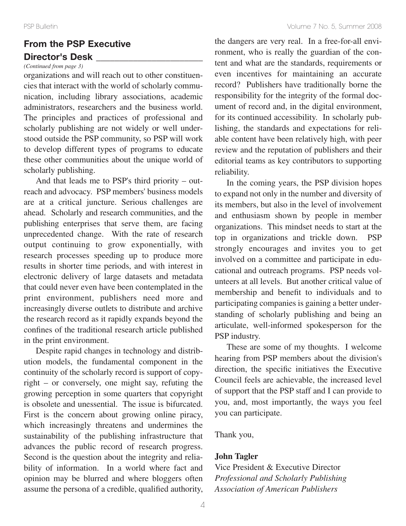## **From the PSP Executive Director's Desk \_\_\_\_\_\_\_\_\_\_\_\_\_\_\_\_\_\_\_\_\_\_\_**

## *(Continued from page 3)*

organizations and will reach out to other constituencies that interact with the world of scholarly communication, including library associations, academic administrators, researchers and the business world. The principles and practices of professional and scholarly publishing are not widely or well understood outside the PSP community, so PSP will work to develop different types of programs to educate these other communities about the unique world of scholarly publishing.

And that leads me to PSP's third priority – outreach and advocacy. PSP members' business models are at a critical juncture. Serious challenges are ahead. Scholarly and research communities, and the publishing enterprises that serve them, are facing unprecedented change. With the rate of research output continuing to grow exponentially, with research processes speeding up to produce more results in shorter time periods, and with interest in electronic delivery of large datasets and metadata that could never even have been contemplated in the print environment, publishers need more and increasingly diverse outlets to distribute and archive the research record as it rapidly expands beyond the confines of the traditional research article published in the print environment.

Despite rapid changes in technology and distribution models, the fundamental component in the continuity of the scholarly record is support of copyright – or conversely, one might say, refuting the growing perception in some quarters that copyright is obsolete and unessential. The issue is bifurcated. First is the concern about growing online piracy, which increasingly threatens and undermines the sustainability of the publishing infrastructure that advances the public record of research progress. Second is the question about the integrity and reliability of information. In a world where fact and opinion may be blurred and where bloggers often assume the persona of a credible, qualified authority,

the dangers are very real. In a free-for-all environment, who is really the guardian of the content and what are the standards, requirements or even incentives for maintaining an accurate record? Publishers have traditionally borne the responsibility for the integrity of the formal document of record and, in the digital environment, for its continued accessibility. In scholarly publishing, the standards and expectations for reliable content have been relatively high, with peer review and the reputation of publishers and their editorial teams as key contributors to supporting reliability.

In the coming years, the PSP division hopes to expand not only in the number and diversity of its members, but also in the level of involvement and enthusiasm shown by people in member organizations. This mindset needs to start at the top in organizations and trickle down. PSP strongly encourages and invites you to get involved on a committee and participate in educational and outreach programs. PSP needs volunteers at all levels. But another critical value of membership and benefit to individuals and to participating companies is gaining a better understanding of scholarly publishing and being an articulate, well-informed spokesperson for the PSP industry.

These are some of my thoughts. I welcome hearing from PSP members about the division's direction, the specific initiatives the Executive Council feels are achievable, the increased level of support that the PSP staff and I can provide to you, and, most importantly, the ways you feel you can participate.

Thank you,

### **John Tagler**

Vice President & Executive Director *Professional and Scholarly Publishing Association of American Publishers*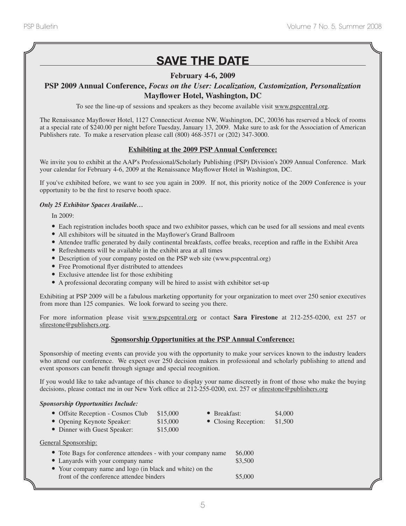# **SAVE THE DATE**

### **February 4-6, 2009**

# **PSP 2009 Annual Conference,** *Focus on the User: Localization, Customization, Personalization*

### **Mayflower Hotel, Washington, DC**

To see the line-up of sessions and speakers as they become available visit www.pspcentral.org.

The Renaissance Mayflower Hotel, 1127 Connecticut Avenue NW, Washington, DC, 20036 has reserved a block of rooms at a special rate of \$240.00 per night before Tuesday, January 13, 2009. Make sure to ask for the Association of American Publishers rate. To make a reservation please call (800) 468-3571 or (202) 347-3000.

### **Exhibiting at the 2009 PSP Annual Conference:**

We invite you to exhibit at the AAP's Professional/Scholarly Publishing (PSP) Division's 2009 Annual Conference. Mark your calendar for February 4-6, 2009 at the Renaissance Mayflower Hotel in Washington, DC.

If you've exhibited before, we want to see you again in 2009. If not, this priority notice of the 2009 Conference is your opportunity to be the first to reserve booth space.

#### *Only 25 Exhibitor Spaces Available…*

In 2009:

- Each registration includes booth space and two exhibitor passes, which can be used for all sessions and meal events
- All exhibitors will be situated in the Mayflower's Grand Ballroom
- Attendee traffic generated by daily continental breakfasts, coffee breaks, reception and raffle in the Exhibit Area
- Refreshments will be available in the exhibit area at all times
- Description of your company posted on the PSP web site (www.pspcentral.org)
- Free Promotional flyer distributed to attendees
- Exclusive attendee list for those exhibiting
- <sup>A</sup> professional decorating company will be hired to assist with exhibitor set-up

Exhibiting at PSP 2009 will be a fabulous marketing opportunity for your organization to meet over 250 senior executives from more than 125 companies. We look forward to seeing you there.

For more information please visit www.pspcentral.org or contact **Sara Firestone** at 212-255-0200, ext 257 or sfirestone@publishers.org.

### **Sponsorship Opportunities at the PSP Annual Conference:**

Sponsorship of meeting events can provide you with the opportunity to make your services known to the industry leaders who attend our conference. We expect over 250 decision makers in professional and scholarly publishing to attend and event sponsors can benefit through signage and special recognition.

If you would like to take advantage of this chance to display your name discreetly in front of those who make the buying decisions, please contact me in our New York office at 212-255-0200, ext. 257 or sfirestone@publishers.org

#### *Sponsorship Opportunities Include:*

Ge

|                                                                                                                 | • Offsite Reception - Cosmos Club                                                                                        | \$15,000 |  | $\bullet$ Breakfast: |         |
|-----------------------------------------------------------------------------------------------------------------|--------------------------------------------------------------------------------------------------------------------------|----------|--|----------------------|---------|
|                                                                                                                 | • Opening Keynote Speaker:                                                                                               | \$15,000 |  | • Closing Reception: | \$1,500 |
|                                                                                                                 | • Dinner with Guest Speaker:                                                                                             | \$15,000 |  |                      |         |
|                                                                                                                 | neral Sponsorship:<br>• Tote Bags for conference attendees - with your company name<br>• Lanyards with your company name |          |  | \$6,000<br>\$3,500   |         |
| • Your company name and logo (in black and white) on the<br>front of the conference attendee binders<br>\$5,000 |                                                                                                                          |          |  |                      |         |
|                                                                                                                 |                                                                                                                          |          |  |                      |         |